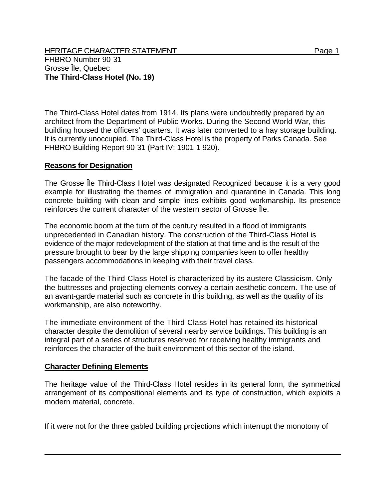HERITAGE CHARACTER STATEMENT FRIELD FOR A STATEMENT AND RAGE 1 FHBRO Number 90-31 Grosse Île, Quebec **The Third-Class Hotel (No. 19)** 

The Third-Class Hotel dates from 1914. Its plans were undoubtedly prepared by an architect from the Department of Public Works. During the Second World War, this building housed the officers' quarters. It was later converted to a hay storage building. It is currently unoccupied. The Third-Class Hotel is the property of Parks Canada. See FHBRO Building Report 90-31 (Part IV: 1901-1 920).

## **Reasons for Designation**

The Grosse Île Third-Class Hotel was designated Recognized because it is a very good example for illustrating the themes of immigration and quarantine in Canada. This long concrete building with clean and simple lines exhibits good workmanship. Its presence reinforces the current character of the western sector of Grosse Île.

The economic boom at the turn of the century resulted in a flood of immigrants unprecedented in Canadian history. The construction of the Third-Class Hotel is evidence of the major redevelopment of the station at that time and is the result of the pressure brought to bear by the large shipping companies keen to offer healthy passengers accommodations in keeping with their travel class.

The facade of the Third-Class Hotel is characterized by its austere Classicism. Only the buttresses and projecting elements convey a certain aesthetic concern. The use of an avant-garde material such as concrete in this building, as well as the quality of its workmanship, are also noteworthy.

The immediate environment of the Third-Class Hotel has retained its historical character despite the demolition of several nearby service buildings. This building is an integral part of a series of structures reserved for receiving healthy immigrants and reinforces the character of the built environment of this sector of the island.

## **Character Defining Elements**

The heritage value of the Third-Class Hotel resides in its general form, the symmetrical arrangement of its compositional elements and its type of construction, which exploits a modern material, concrete.

If it were not for the three gabled building projections which interrupt the monotony of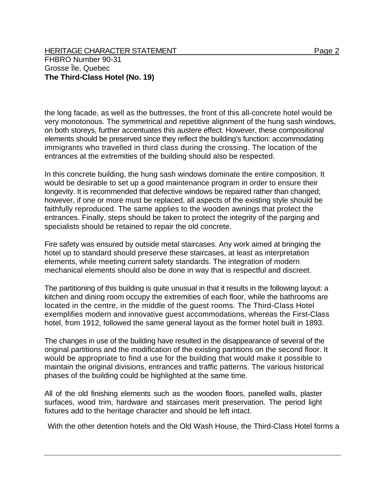HERITAGE CHARACTER STATEMENT FRIELD FOR A STATEMENT AND RAGE 2 FHBRO Number 90-31 Grosse Île, Quebec **The Third-Class Hotel (No. 19)** 

the long facade, as well as the buttresses, the front of this all-concrete hotel would be very monotonous. The symmetrical and repetitive alignment of the hung sash windows, on both storeys, further accentuates this austere effect. However, these compositional elements should be preserved since they reflect the building's function: accommodating immigrants who travelled in third class during the crossing. The location of the entrances at the extremities of the building should also be respected.

In this concrete building, the hung sash windows dominate the entire composition. It would be desirable to set up a good maintenance program in order to ensure their longevity. It is recommended that defective windows be repaired rather than changed; however, if one or more must be replaced, all aspects of the existing style should be faithfully reproduced. The same applies to the wooden awnings that protect the entrances. Finally, steps should be taken to protect the integrity of the parging and specialists should be retained to repair the old concrete.

Fire safety was ensured by outside metal staircases. Any work aimed at bringing the hotel up to standard should preserve these staircases, at least as interpretation elements, while meeting current safety standards. The integration of modern mechanical elements should also be done in way that is respectful and discreet.

The partitioning of this building is quite unusual in that it results in the following layout: a kitchen and dining room occupy the extremities of each floor, while the bathrooms are located in the centre, in the middle of the guest rooms. The Third-Class Hotel exemplifies modern and innovative guest accommodations, whereas the First-Class hotel, from 1912, followed the same general layout as the former hotel built in 1893.

The changes in use of the building have resulted in the disappearance of several of the original partitions and the modification of the existing partitions on the second floor. It would be appropriate to find a use for the building that would make it possible to maintain the original divisions, entrances and traffic patterns. The various historical phases of the building could be highlighted at the same time.

All of the old finishing elements such as the wooden floors, panelled walls, plaster surfaces, wood trim, hardware and staircases merit preservation. The period light fixtures add to the heritage character and should be left intact.

With the other detention hotels and the Old Wash House, the Third-Class Hotel forms a